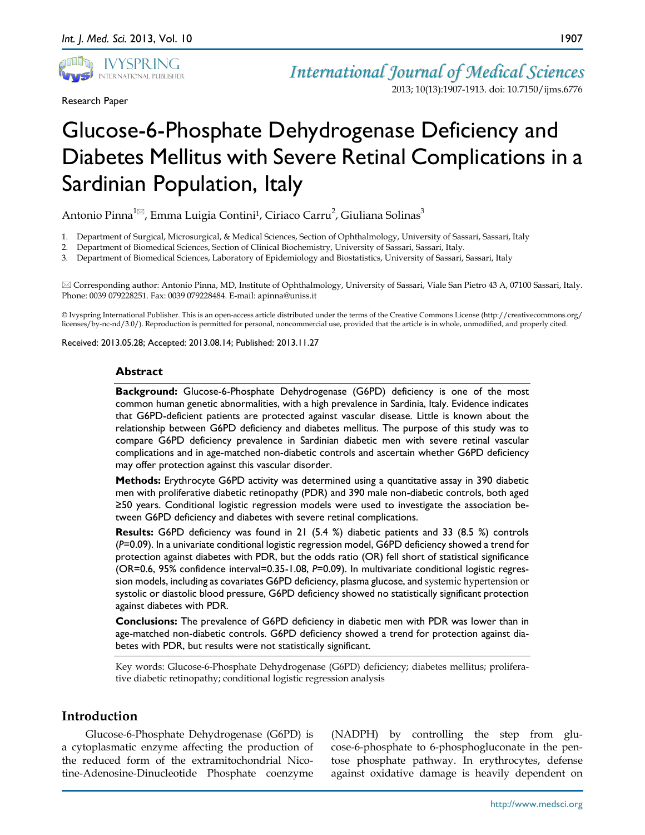

Research Paper

2013; 10(13):1907-1913. doi: 10.7150/ijms.6776

# Glucose-6-Phosphate Dehydrogenase Deficiency and Diabetes Mellitus with Severe Retinal Complications in a Sardinian Population, Italy

Antonio Pinna $^{1\boxtimes}$ , Emma Luigia Contini $^1$ , Ciriaco Carru $^2$ , Giuliana Solinas $^3$ 

- 1. Department of Surgical, Microsurgical, & Medical Sciences, Section of Ophthalmology, University of Sassari, Sassari, Italy
- 2. Department of Biomedical Sciences, Section of Clinical Biochemistry, University of Sassari, Sassari, Italy.
- 3. Department of Biomedical Sciences, Laboratory of Epidemiology and Biostatistics, University of Sassari, Sassari, Italy

 Corresponding author: Antonio Pinna, MD, Institute of Ophthalmology, University of Sassari, Viale San Pietro 43 A, 07100 Sassari, Italy. Phone: 0039 079228251. Fax: 0039 079228484. E-mail: apinna@uniss.it

© Ivyspring International Publisher. This is an open-access article distributed under the terms of the Creative Commons License (http://creativecommons.org/ licenses/by-nc-nd/3.0/). Reproduction is permitted for personal, noncommercial use, provided that the article is in whole, unmodified, and properly cited.

Received: 2013.05.28; Accepted: 2013.08.14; Published: 2013.11.27

## **Abstract**

**Background:** Glucose-6-Phosphate Dehydrogenase (G6PD) deficiency is one of the most common human genetic abnormalities, with a high prevalence in Sardinia, Italy. Evidence indicates that G6PD-deficient patients are protected against vascular disease. Little is known about the relationship between G6PD deficiency and diabetes mellitus. The purpose of this study was to compare G6PD deficiency prevalence in Sardinian diabetic men with severe retinal vascular complications and in age-matched non-diabetic controls and ascertain whether G6PD deficiency may offer protection against this vascular disorder.

**Methods:** Erythrocyte G6PD activity was determined using a quantitative assay in 390 diabetic men with proliferative diabetic retinopathy (PDR) and 390 male non-diabetic controls, both aged ≥50 years. Conditional logistic regression models were used to investigate the association between G6PD deficiency and diabetes with severe retinal complications.

**Results:** G6PD deficiency was found in 21 (5.4 %) diabetic patients and 33 (8.5 %) controls (*P*=0.09). In a univariate conditional logistic regression model, G6PD deficiency showed a trend for protection against diabetes with PDR, but the odds ratio (OR) fell short of statistical significance (OR=0.6, 95% confidence interval=0.35-1.08, *P*=0.09). In multivariate conditional logistic regression models, including as covariates G6PD deficiency, plasma glucose, and systemic hypertension or systolic or diastolic blood pressure, G6PD deficiency showed no statistically significant protection against diabetes with PDR.

**Conclusions:** The prevalence of G6PD deficiency in diabetic men with PDR was lower than in age-matched non-diabetic controls. G6PD deficiency showed a trend for protection against diabetes with PDR, but results were not statistically significant.

Key words: Glucose-6-Phosphate Dehydrogenase (G6PD) deficiency; diabetes mellitus; proliferative diabetic retinopathy; conditional logistic regression analysis

## **Introduction**

Glucose-6-Phosphate Dehydrogenase (G6PD) is a cytoplasmatic enzyme affecting the production of the reduced form of the extramitochondrial Nicotine-Adenosine-Dinucleotide Phosphate coenzyme

(NADPH) by controlling the step from glucose-6-phosphate to 6-phosphogluconate in the pentose phosphate pathway. In erythrocytes, defense against oxidative damage is heavily dependent on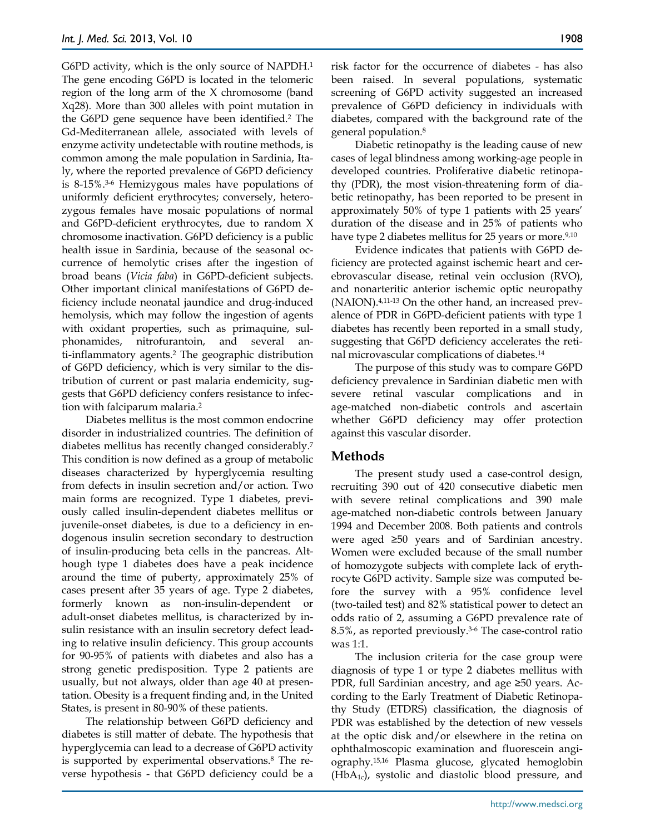G6PD activity, which is the only source of NAPDH.1 The gene encoding G6PD is located in the telomeric region of the long arm of the X chromosome (band Xq28). More than 300 alleles with point mutation in the G6PD gene sequence have been identified.2 The Gd-Mediterranean allele, associated with levels of enzyme activity undetectable with routine methods, is common among the male population in Sardinia, Italy, where the reported prevalence of G6PD deficiency is 8-15%.3-6 Hemizygous males have populations of uniformly deficient erythrocytes; conversely, heterozygous females have mosaic populations of normal and G6PD-deficient erythrocytes, due to random X chromosome inactivation. G6PD deficiency is a public health issue in Sardinia, because of the seasonal occurrence of hemolytic crises after the ingestion of broad beans (*Vicia faba*) in G6PD-deficient subjects. Other important clinical manifestations of G6PD deficiency include neonatal jaundice and drug-induced hemolysis, which may follow the ingestion of agents with oxidant properties, such as primaquine, sulphonamides, nitrofurantoin, and several anti-inflammatory agents.2 The geographic distribution of G6PD deficiency, which is very similar to the distribution of current or past malaria endemicity, suggests that G6PD deficiency confers resistance to infection with falciparum malaria.2

Diabetes mellitus is the most common endocrine disorder in industrialized countries. The definition of diabetes mellitus has recently changed considerably.7 This condition is now defined as a group of metabolic diseases characterized by hyperglycemia resulting from defects in insulin secretion and/or action. Two main forms are recognized. Type 1 diabetes, previously called insulin-dependent diabetes mellitus or juvenile-onset diabetes, is due to a deficiency in endogenous insulin secretion secondary to destruction of insulin-producing beta cells in the pancreas. Although type 1 diabetes does have a peak incidence around the time of puberty, approximately 25% of cases present after 35 years of age. Type 2 diabetes, formerly known as non-insulin-dependent or adult-onset diabetes mellitus, is characterized by insulin resistance with an insulin secretory defect leading to relative insulin deficiency. This group accounts for 90-95% of patients with diabetes and also has a strong genetic predisposition. Type 2 patients are usually, but not always, older than age 40 at presentation. Obesity is a frequent finding and, in the United States, is present in 80-90% of these patients.

The relationship between G6PD deficiency and diabetes is still matter of debate. The hypothesis that hyperglycemia can lead to a decrease of G6PD activity is supported by experimental observations.8 The reverse hypothesis - that G6PD deficiency could be a

risk factor for the occurrence of diabetes - has also been raised. In several populations, systematic screening of G6PD activity suggested an increased prevalence of G6PD deficiency in individuals with diabetes, compared with the background rate of the general population.8

Diabetic retinopathy is the leading cause of new cases of legal blindness among working-age people in developed countries. Proliferative diabetic retinopathy (PDR), the most vision-threatening form of diabetic retinopathy, has been reported to be present in approximately 50% of type 1 patients with 25 years' duration of the disease and in 25% of patients who have type 2 diabetes mellitus for 25 years or more.<sup>9,10</sup>

Evidence indicates that patients with G6PD deficiency are protected against ischemic heart and cerebrovascular disease, retinal vein occlusion (RVO), and nonarteritic anterior ischemic optic neuropathy (NAION).4,11-13 On the other hand, an increased prevalence of PDR in G6PD-deficient patients with type 1 diabetes has recently been reported in a small study, suggesting that G6PD deficiency accelerates the retinal microvascular complications of diabetes.14

The purpose of this study was to compare G6PD deficiency prevalence in Sardinian diabetic men with severe retinal vascular complications and in age-matched non-diabetic controls and ascertain whether G6PD deficiency may offer protection against this vascular disorder.

## **Methods**

The present study used a case-control design, recruiting 390 out of 420 consecutive diabetic men with severe retinal complications and 390 male age-matched non-diabetic controls between January 1994 and December 2008. Both patients and controls were aged ≥50 years and of Sardinian ancestry. Women were excluded because of the small number of homozygote subjects with complete lack of erythrocyte G6PD activity. Sample size was computed before the survey with a 95% confidence level (two-tailed test) and 82% statistical power to detect an odds ratio of 2, assuming a G6PD prevalence rate of 8.5%, as reported previously.3-6 The case-control ratio was 1:1.

The inclusion criteria for the case group were diagnosis of type 1 or type 2 diabetes mellitus with PDR, full Sardinian ancestry, and age ≥50 years. According to the Early Treatment of Diabetic Retinopathy Study (ETDRS) classification, the diagnosis of PDR was established by the detection of new vessels at the optic disk and/or elsewhere in the retina on ophthalmoscopic examination and fluorescein angiography.15,16 Plasma glucose, glycated hemoglobin  $(HbA_{1c})$ , systolic and diastolic blood pressure, and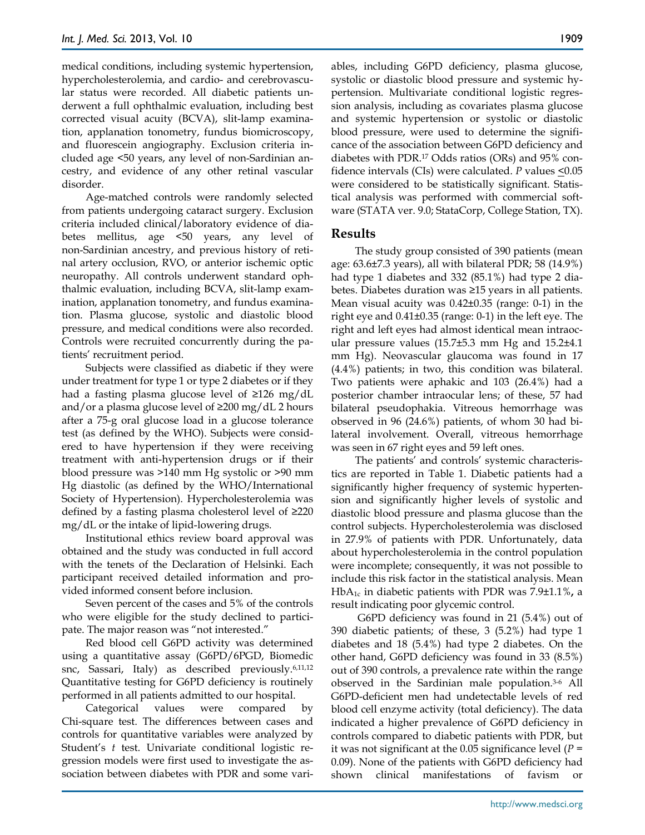medical conditions, including systemic hypertension, hypercholesterolemia, and cardio- and cerebrovascular status were recorded. All diabetic patients underwent a full ophthalmic evaluation, including best corrected visual acuity (BCVA), slit-lamp examination, applanation tonometry, fundus biomicroscopy, and fluorescein angiography. Exclusion criteria included age <50 years, any level of non-Sardinian ancestry, and evidence of any other retinal vascular disorder.

Age-matched controls were randomly selected from patients undergoing cataract surgery. Exclusion criteria included clinical/laboratory evidence of diabetes mellitus, age <50 years, any level of non-Sardinian ancestry, and previous history of retinal artery occlusion, RVO, or anterior ischemic optic neuropathy. All controls underwent standard ophthalmic evaluation, including BCVA, slit-lamp examination, applanation tonometry, and fundus examination. Plasma glucose, systolic and diastolic blood pressure, and medical conditions were also recorded. Controls were recruited concurrently during the patients' recruitment period.

Subjects were classified as diabetic if they were under treatment for type 1 or type 2 diabetes or if they had a fasting plasma glucose level of ≥126 mg/dL and/or a plasma glucose level of ≥200 mg/dL 2 hours after a 75-g oral glucose load in a glucose tolerance test (as defined by the WHO). Subjects were considered to have hypertension if they were receiving treatment with anti-hypertension drugs or if their blood pressure was >140 mm Hg systolic or >90 mm Hg diastolic (as defined by the WHO/International Society of Hypertension). Hypercholesterolemia was defined by a fasting plasma cholesterol level of ≥220 mg/dL or the intake of lipid-lowering drugs.

Institutional ethics review board approval was obtained and the study was conducted in full accord with the tenets of the Declaration of Helsinki. Each participant received detailed information and provided informed consent before inclusion.

Seven percent of the cases and 5% of the controls who were eligible for the study declined to participate. The major reason was "not interested."

Red blood cell G6PD activity was determined using a quantitative assay (G6PD/6PGD, Biomedic snc, Sassari, Italy) as described previously.6,11,12 Quantitative testing for G6PD deficiency is routinely performed in all patients admitted to our hospital.

Categorical values were compared by Chi-square test. The differences between cases and controls for quantitative variables were analyzed by Student's *t* test. Univariate conditional logistic regression models were first used to investigate the association between diabetes with PDR and some variables, including G6PD deficiency, plasma glucose, systolic or diastolic blood pressure and systemic hypertension. Multivariate conditional logistic regression analysis, including as covariates plasma glucose and systemic hypertension or systolic or diastolic blood pressure, were used to determine the significance of the association between G6PD deficiency and diabetes with PDR.17 Odds ratios (ORs) and 95% confidence intervals (CIs) were calculated. *P* values <0.05 were considered to be statistically significant. Statistical analysis was performed with commercial software (STATA ver. 9.0; StataCorp, College Station, TX).

## **Results**

The study group consisted of 390 patients (mean age: 63.6±7.3 years), all with bilateral PDR; 58 (14.9%) had type 1 diabetes and 332 (85.1%) had type 2 diabetes. Diabetes duration was ≥15 years in all patients. Mean visual acuity was 0.42±0.35 (range: 0-1) in the right eye and 0.41±0.35 (range: 0-1) in the left eye. The right and left eyes had almost identical mean intraocular pressure values (15.7±5.3 mm Hg and 15.2±4.1 mm Hg). Neovascular glaucoma was found in 17 (4.4%) patients; in two, this condition was bilateral. Two patients were aphakic and 103 (26.4%) had a posterior chamber intraocular lens; of these, 57 had bilateral pseudophakia. Vitreous hemorrhage was observed in 96 (24.6%) patients, of whom 30 had bilateral involvement. Overall, vitreous hemorrhage was seen in 67 right eyes and 59 left ones.

The patients' and controls' systemic characteristics are reported in Table 1. Diabetic patients had a significantly higher frequency of systemic hypertension and significantly higher levels of systolic and diastolic blood pressure and plasma glucose than the control subjects. Hypercholesterolemia was disclosed in 27.9% of patients with PDR. Unfortunately, data about hypercholesterolemia in the control population were incomplete; consequently, it was not possible to include this risk factor in the statistical analysis. Mean HbA1c in diabetic patients with PDR was 7.9±1.1%**,** a result indicating poor glycemic control.

G6PD deficiency was found in 21 (5.4%) out of 390 diabetic patients; of these, 3 (5.2%) had type 1 diabetes and 18 (5.4%) had type 2 diabetes. On the other hand, G6PD deficiency was found in 33 (8.5%) out of 390 controls, a prevalence rate within the range observed in the Sardinian male population.3-6 All G6PD-deficient men had undetectable levels of red blood cell enzyme activity (total deficiency). The data indicated a higher prevalence of G6PD deficiency in controls compared to diabetic patients with PDR, but it was not significant at the 0.05 significance level (*P* = 0.09). None of the patients with G6PD deficiency had shown clinical manifestations of favism or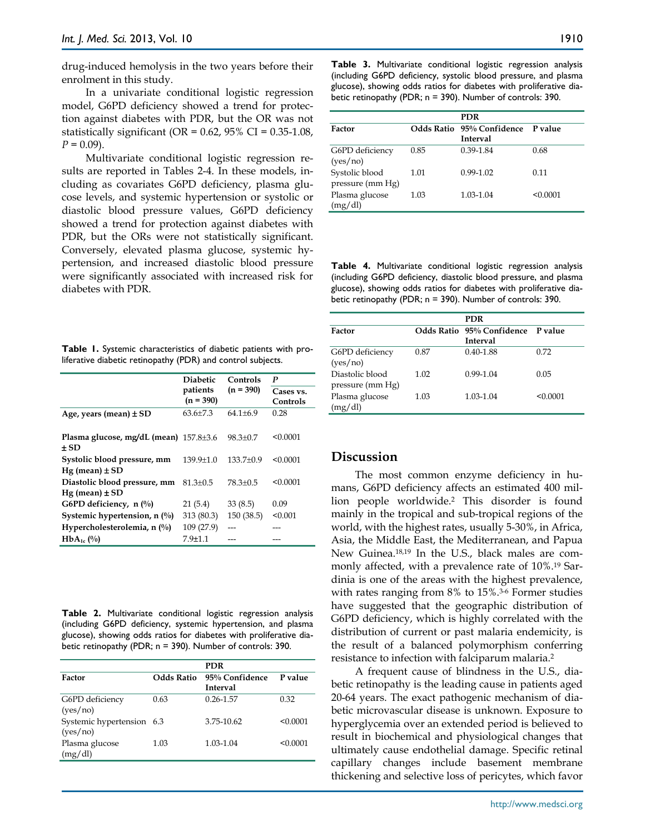drug-induced hemolysis in the two years before their enrolment in this study.

In a univariate conditional logistic regression model, G6PD deficiency showed a trend for protection against diabetes with PDR, but the OR was not statistically significant (OR =  $0.62$ ,  $95\%$  CI =  $0.35-1.08$ ,  $P = 0.09$ .

Multivariate conditional logistic regression results are reported in Tables 2-4. In these models, including as covariates G6PD deficiency, plasma glucose levels, and systemic hypertension or systolic or diastolic blood pressure values, G6PD deficiency showed a trend for protection against diabetes with PDR, but the ORs were not statistically significant. Conversely, elevated plasma glucose, systemic hypertension, and increased diastolic blood pressure were significantly associated with increased risk for diabetes with PDR.

|  | Table 1. Systemic characteristics of diabetic patients with pro- |  |  |
|--|------------------------------------------------------------------|--|--|
|  | liferative diabetic retinopathy (PDR) and control subjects.      |  |  |

|                                                        | <b>Diabetic</b>         | Controls      | P                     |  |
|--------------------------------------------------------|-------------------------|---------------|-----------------------|--|
|                                                        | patients<br>$(n = 390)$ | $(n = 390)$   | Cases vs.<br>Controls |  |
| Age, years (mean) $\pm$ SD                             | $63.6{\pm}7.3$          | $64.1 + 6.9$  | 0.28                  |  |
| Plasma glucose, mg/dL (mean) $157.8\pm3.6$<br>$\pm$ SD |                         | $98.3 + 0.7$  | < 0.0001              |  |
| Systolic blood pressure, mm<br>$Hg$ (mean) $\pm$ SD    | $139.9 + 1.0$           | $133.7 + 0.9$ | < 0.0001              |  |
| Diastolic blood pressure, mm<br>$Hg$ (mean) $\pm$ SD   | $81.3 + 0.5$            | $78.3 + 0.5$  | < 0.0001              |  |
| G6PD deficiency, $n$ (%)                               | 21(5.4)                 | 33(8.5)       | 0.09                  |  |
| Systemic hypertension, $n \binom{0}{0}$                | 313 (80.3)              | 150 (38.5)    | < 0.001               |  |
| Hypercholesterolemia, n $(\%)$                         | 109 (27.9)              | ---           |                       |  |
| $HbA_{1c}$ (%)                                         | $7.9 + 1.1$             |               |                       |  |

**Table 2.** Multivariate conditional logistic regression analysis (including G6PD deficiency, systemic hypertension, and plasma glucose), showing odds ratios for diabetes with proliferative diabetic retinopathy (PDR; n = 390). Number of controls: 390.

|                           |                   | <b>PDR</b>     |          |
|---------------------------|-------------------|----------------|----------|
| Factor                    | <b>Odds Ratio</b> | 95% Confidence | P value  |
|                           |                   | Interval       |          |
| G6PD deficiency           | 0.63              | $0.26 - 1.57$  | 0.32     |
| (yes/no)                  |                   |                |          |
| Systemic hypertension 6.3 |                   | 3.75-10.62     | < 0.0001 |
| (yes/no)                  |                   |                |          |
| Plasma glucose            | 1.03              | 1.03-1.04      | < 0.0001 |
| (mg/dl)                   |                   |                |          |

|                  |      | PDR                       |          |
|------------------|------|---------------------------|----------|
| Factor           |      | Odds Ratio 95% Confidence | P value  |
|                  |      | Interval                  |          |
| G6PD deficiency  | 0.85 | 0.39-1.84                 | 0.68     |
| (yes/no)         |      |                           |          |
| Systolic blood   | 1.01 | $0.99 - 1.02$             | 0.11     |
| pressure (mm Hg) |      |                           |          |
| Plasma glucose   | 1.03 | 1.03-1.04                 | < 0.0001 |
| (mg/dl)          |      |                           |          |

**Table 4.** Multivariate conditional logistic regression analysis (including G6PD deficiency, diastolic blood pressure, and plasma glucose), showing odds ratios for diabetes with proliferative diabetic retinopathy (PDR; n = 390). Number of controls: 390.

|                                     |      | PDR                                           |          |
|-------------------------------------|------|-----------------------------------------------|----------|
| Factor                              |      | Odds Ratio 95% Confidence P value<br>Interval |          |
| G6PD deficiency<br>(yes/no)         | 0.87 | $0.40 - 1.88$                                 | 0.72     |
| Diastolic blood<br>pressure (mm Hg) | 1.02 | $0.99 - 1.04$                                 | 0.05     |
| Plasma glucose<br>(mg/dl)           | 1.03 | 1.03-1.04                                     | < 0.0001 |

## **Discussion**

The most common enzyme deficiency in humans, G6PD deficiency affects an estimated 400 million people worldwide.2 This disorder is found mainly in the tropical and sub-tropical regions of the world, with the highest rates, usually 5-30%, in Africa, Asia, the Middle East, the Mediterranean, and Papua New Guinea.18,19 In the U.S., black males are commonly affected, with a prevalence rate of 10%.19 Sardinia is one of the areas with the highest prevalence, with rates ranging from 8% to 15%.<sup>3-6</sup> Former studies have suggested that the geographic distribution of G6PD deficiency, which is highly correlated with the distribution of current or past malaria endemicity, is the result of a balanced polymorphism conferring resistance to infection with falciparum malaria.2

A frequent cause of blindness in the U.S., diabetic retinopathy is the leading cause in patients aged 20-64 years. The exact pathogenic mechanism of diabetic microvascular disease is unknown. Exposure to hyperglycemia over an extended period is believed to result in biochemical and physiological changes that ultimately cause endothelial damage. Specific retinal capillary changes include basement membrane thickening and selective loss of pericytes, which favor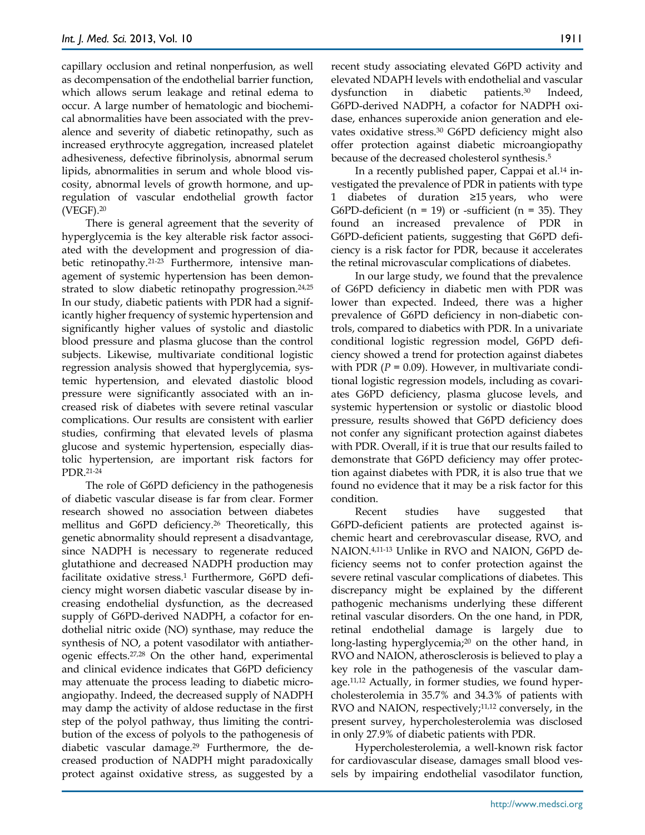capillary occlusion and retinal nonperfusion, as well as decompensation of the endothelial barrier function, which allows serum leakage and retinal edema to occur. A large number of hematologic and biochemical abnormalities have been associated with the prevalence and severity of diabetic retinopathy, such as increased erythrocyte aggregation, increased platelet adhesiveness, defective fibrinolysis, abnormal serum lipids, abnormalities in serum and whole blood viscosity, abnormal levels of growth hormone, and upregulation of vascular endothelial growth factor (VEGF).20

There is general agreement that the severity of hyperglycemia is the key alterable risk factor associated with the development and progression of diabetic retinopathy.21-23 Furthermore, intensive management of systemic hypertension has been demonstrated to slow diabetic retinopathy progression.<sup>24,25</sup> In our study, diabetic patients with PDR had a significantly higher frequency of systemic hypertension and significantly higher values of systolic and diastolic blood pressure and plasma glucose than the control subjects. Likewise, multivariate conditional logistic regression analysis showed that hyperglycemia, systemic hypertension, and elevated diastolic blood pressure were significantly associated with an increased risk of diabetes with severe retinal vascular complications. Our results are consistent with earlier studies, confirming that elevated levels of plasma glucose and systemic hypertension, especially diastolic hypertension, are important risk factors for PDR.21-24

The role of G6PD deficiency in the pathogenesis of diabetic vascular disease is far from clear. Former research showed no association between diabetes mellitus and G6PD deficiency.<sup>26</sup> Theoretically, this genetic abnormality should represent a disadvantage, since NADPH is necessary to regenerate reduced glutathione and decreased NADPH production may facilitate oxidative stress.1 Furthermore, G6PD deficiency might worsen diabetic vascular disease by increasing endothelial dysfunction, as the decreased supply of G6PD-derived NADPH, a cofactor for endothelial nitric oxide (NO) synthase, may reduce the synthesis of NO, a potent vasodilator with antiatherogenic effects.27,28 On the other hand, experimental and clinical evidence indicates that G6PD deficiency may attenuate the process leading to diabetic microangiopathy. Indeed, the decreased supply of NADPH may damp the activity of aldose reductase in the first step of the polyol pathway, thus limiting the contribution of the excess of polyols to the pathogenesis of diabetic vascular damage.29 Furthermore, the decreased production of NADPH might paradoxically protect against oxidative stress, as suggested by a

recent study associating elevated G6PD activity and elevated NDAPH levels with endothelial and vascular dysfunction in diabetic patients.30 Indeed, G6PD-derived NADPH, a cofactor for NADPH oxidase, enhances superoxide anion generation and elevates oxidative stress.30 G6PD deficiency might also offer protection against diabetic microangiopathy because of the decreased cholesterol synthesis.5

In a recently published paper, Cappai et al.14 investigated the prevalence of PDR in patients with type 1 diabetes of duration ≥15 years, who were G6PD-deficient ( $n = 19$ ) or -sufficient ( $n = 35$ ). They found an increased prevalence of PDR in G6PD-deficient patients, suggesting that G6PD deficiency is a risk factor for PDR, because it accelerates the retinal microvascular complications of diabetes.

In our large study, we found that the prevalence of G6PD deficiency in diabetic men with PDR was lower than expected. Indeed, there was a higher prevalence of G6PD deficiency in non-diabetic controls, compared to diabetics with PDR. In a univariate conditional logistic regression model, G6PD deficiency showed a trend for protection against diabetes with PDR  $(P = 0.09)$ . However, in multivariate conditional logistic regression models, including as covariates G6PD deficiency, plasma glucose levels, and systemic hypertension or systolic or diastolic blood pressure, results showed that G6PD deficiency does not confer any significant protection against diabetes with PDR. Overall, if it is true that our results failed to demonstrate that G6PD deficiency may offer protection against diabetes with PDR, it is also true that we found no evidence that it may be a risk factor for this condition.

Recent studies have suggested that G6PD-deficient patients are protected against ischemic heart and cerebrovascular disease, RVO, and NAION.4,11-13 Unlike in RVO and NAION, G6PD deficiency seems not to confer protection against the severe retinal vascular complications of diabetes. This discrepancy might be explained by the different pathogenic mechanisms underlying these different retinal vascular disorders. On the one hand, in PDR, retinal endothelial damage is largely due to long-lasting hyperglycemia;20 on the other hand, in RVO and NAION, atherosclerosis is believed to play a key role in the pathogenesis of the vascular damage.11,12 Actually, in former studies, we found hypercholesterolemia in 35.7% and 34.3% of patients with RVO and NAION, respectively; $11,12$  conversely, in the present survey, hypercholesterolemia was disclosed in only 27.9% of diabetic patients with PDR.

Hypercholesterolemia, a well-known risk factor for cardiovascular disease, damages small blood vessels by impairing endothelial vasodilator function,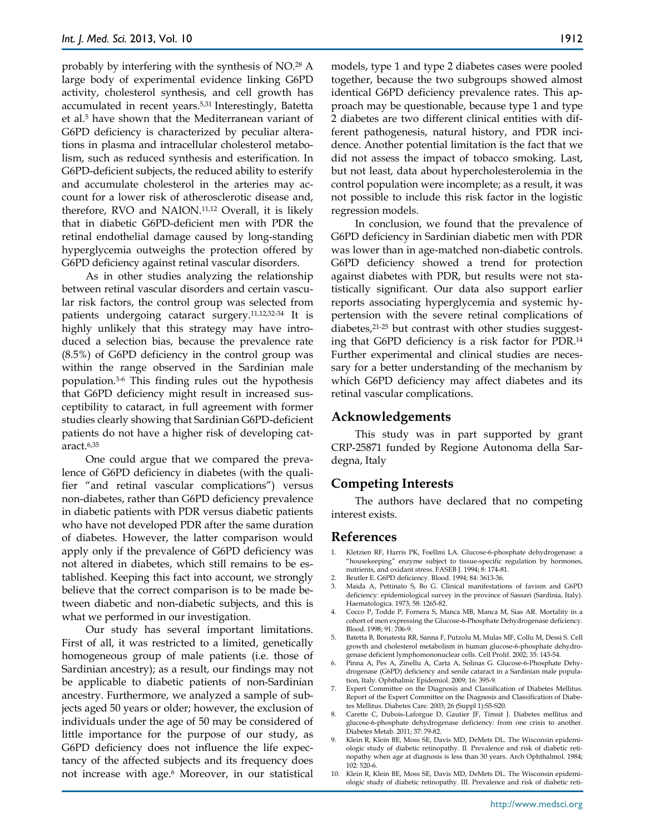probably by interfering with the synthesis of NO.28 A large body of experimental evidence linking G6PD activity, cholesterol synthesis, and cell growth has accumulated in recent years.5,31 Interestingly, Batetta et al.5 have shown that the Mediterranean variant of G6PD deficiency is characterized by peculiar alterations in plasma and intracellular cholesterol metabolism, such as reduced synthesis and esterification. In G6PD-deficient subjects, the reduced ability to esterify and accumulate cholesterol in the arteries may account for a lower risk of atherosclerotic disease and, therefore, RVO and NAION.11,12 Overall, it is likely that in diabetic G6PD-deficient men with PDR the retinal endothelial damage caused by long-standing hyperglycemia outweighs the protection offered by G6PD deficiency against retinal vascular disorders.

As in other studies analyzing the relationship between retinal vascular disorders and certain vascular risk factors, the control group was selected from patients undergoing cataract surgery.11,12,32-34 It is highly unlikely that this strategy may have introduced a selection bias, because the prevalence rate (8.5%) of G6PD deficiency in the control group was within the range observed in the Sardinian male population.3-6 This finding rules out the hypothesis that G6PD deficiency might result in increased susceptibility to cataract, in full agreement with former studies clearly showing that Sardinian G6PD-deficient patients do not have a higher risk of developing cataract.6,35

One could argue that we compared the prevalence of G6PD deficiency in diabetes (with the qualifier "and retinal vascular complications") versus non-diabetes, rather than G6PD deficiency prevalence in diabetic patients with PDR versus diabetic patients who have not developed PDR after the same duration of diabetes. However, the latter comparison would apply only if the prevalence of G6PD deficiency was not altered in diabetes, which still remains to be established. Keeping this fact into account, we strongly believe that the correct comparison is to be made between diabetic and non-diabetic subjects, and this is what we performed in our investigation.

Our study has several important limitations. First of all, it was restricted to a limited, genetically homogeneous group of male patients (i.e. those of Sardinian ancestry); as a result, our findings may not be applicable to diabetic patients of non-Sardinian ancestry. Furthermore, we analyzed a sample of subjects aged 50 years or older; however, the exclusion of individuals under the age of 50 may be considered of little importance for the purpose of our study, as G6PD deficiency does not influence the life expectancy of the affected subjects and its frequency does not increase with age.6 Moreover, in our statistical

models, type 1 and type 2 diabetes cases were pooled together, because the two subgroups showed almost identical G6PD deficiency prevalence rates. This approach may be questionable, because type 1 and type 2 diabetes are two different clinical entities with different pathogenesis, natural history, and PDR incidence. Another potential limitation is the fact that we did not assess the impact of tobacco smoking. Last, but not least, data about hypercholesterolemia in the control population were incomplete; as a result, it was not possible to include this risk factor in the logistic regression models.

In conclusion, we found that the prevalence of G6PD deficiency in Sardinian diabetic men with PDR was lower than in age-matched non-diabetic controls. G6PD deficiency showed a trend for protection against diabetes with PDR, but results were not statistically significant. Our data also support earlier reports associating hyperglycemia and systemic hypertension with the severe retinal complications of diabetes,21-25 but contrast with other studies suggesting that G6PD deficiency is a risk factor for PDR.14 Further experimental and clinical studies are necessary for a better understanding of the mechanism by which G6PD deficiency may affect diabetes and its retinal vascular complications.

### **Acknowledgements**

This study was in part supported by grant CRP-25871 funded by Regione Autonoma della Sardegna, Italy

## **Competing Interests**

The authors have declared that no competing interest exists.

#### **References**

- 1. Kletzien RF, Harris PK, Foellmi LA. Glucose-6-phosphate dehydrogenase: a "housekeeping" enzyme subject to tissue-specific regulation by hormones, nutrients, and oxidant stress. FASEB J. 1994; 8: 174-81.
- 2. Beutler E. G6PD deficiency. Blood. 1994; 84: 3613-36.
- 3. Maida A, Pettinato S, Bo G. Clinical manifestations of favism and G6PD deficiency: epidemiological survey in the province of Sassari (Sardinia, Italy). Haematologica. 1973; 58: 1265-82.
- 4. Cocco P, Todde P, Fornera S, Manca MB, Manca M, Sias AR. Mortality in a cohort of men expressing the Glucose-6-Phosphate Dehydrogenase deficiency. Blood. 1998; 91: 706-9.
- 5. Batetta B, Bonatesta RR, Sanna F, Putzolu M, Mulas MF, Collu M, Dessì S. Cell growth and cholesterol metabolism in human glucose-6-phosphate dehydrogenase deficient lymphomononuclear cells. Cell Prolif. 2002; 35: 143-54.
- 6. Pinna A, Pes A, Zinellu A, Carta A, Solinas G. Glucose-6-Phosphate Dehydrogenase (G6PD) deficiency and senile cataract in a Sardinian male population, Italy. Ophthalmic Epidemiol. 2009; 16: 395-9.
- 7. Expert Committee on the Diagnosis and Classification of Diabetes Mellitus. Report of the Expert Committee on the Diagnosis and Classification of Diabetes Mellitus. Diabetes Care. 2003; 26 (Suppl 1):S5-S20.
- 8. Carette C, Dubois-Laforgue D, Gautier JF, Timsit J. Diabetes mellitus and glucose-6-phosphate dehydrogenase deficiency: from one crisis to another. Diabetes Metab. 2011; 37: 79-82.
- Klein R, Klein BE, Moss SE, Davis MD, DeMets DL. The Wisconsin epidemiologic study of diabetic retinopathy. II. Prevalence and risk of diabetic retinopathy when age at diagnosis is less than 30 years. Arch Ophthalmol. 1984; 102: 520-6.
- 10. Klein R, Klein BE, Moss SE, Davis MD, DeMets DL. The Wisconsin epidemiologic study of diabetic retinopathy. III. Prevalence and risk of diabetic reti-